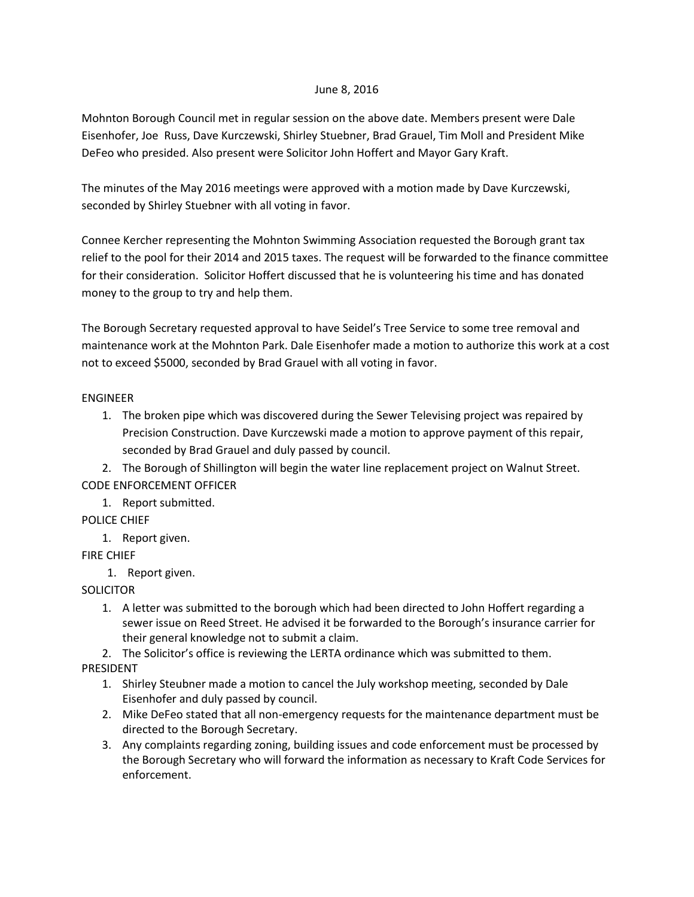### June 8, 2016

Mohnton Borough Council met in regular session on the above date. Members present were Dale Eisenhofer, Joe Russ, Dave Kurczewski, Shirley Stuebner, Brad Grauel, Tim Moll and President Mike DeFeo who presided. Also present were Solicitor John Hoffert and Mayor Gary Kraft.

The minutes of the May 2016 meetings were approved with a motion made by Dave Kurczewski, seconded by Shirley Stuebner with all voting in favor.

Connee Kercher representing the Mohnton Swimming Association requested the Borough grant tax relief to the pool for their 2014 and 2015 taxes. The request will be forwarded to the finance committee for their consideration. Solicitor Hoffert discussed that he is volunteering his time and has donated money to the group to try and help them.

The Borough Secretary requested approval to have Seidel's Tree Service to some tree removal and maintenance work at the Mohnton Park. Dale Eisenhofer made a motion to authorize this work at a cost not to exceed \$5000, seconded by Brad Grauel with all voting in favor.

## ENGINEER

1. The broken pipe which was discovered during the Sewer Televising project was repaired by Precision Construction. Dave Kurczewski made a motion to approve payment of this repair, seconded by Brad Grauel and duly passed by council.

2. The Borough of Shillington will begin the water line replacement project on Walnut Street. CODE ENFORCEMENT OFFICER

1. Report submitted.

POLICE CHIEF

1. Report given.

# FIRE CHIEF

1. Report given.

# **SOLICITOR**

1. A letter was submitted to the borough which had been directed to John Hoffert regarding a sewer issue on Reed Street. He advised it be forwarded to the Borough's insurance carrier for their general knowledge not to submit a claim.

2. The Solicitor's office is reviewing the LERTA ordinance which was submitted to them. PRESIDENT

- 1. Shirley Steubner made a motion to cancel the July workshop meeting, seconded by Dale Eisenhofer and duly passed by council.
- 2. Mike DeFeo stated that all non-emergency requests for the maintenance department must be directed to the Borough Secretary.
- 3. Any complaints regarding zoning, building issues and code enforcement must be processed by the Borough Secretary who will forward the information as necessary to Kraft Code Services for enforcement.